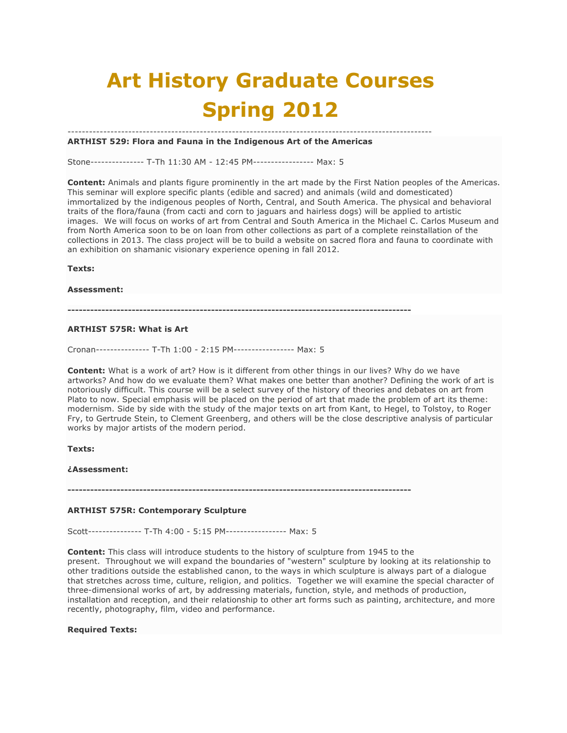# **Art History Graduate Courses Spring 2012**

#### ------------------------------------------------------------------------------------------------------ **ARTHIST 529: Flora and Fauna in the Indigenous Art of the Americas**

Stone--------------- T-Th 11:30 AM - 12:45 PM----------------- Max: 5

**Content:** Animals and plants figure prominently in the art made by the First Nation peoples of the Americas. This seminar will explore specific plants (edible and sacred) and animals (wild and domesticated) immortalized by the indigenous peoples of North, Central, and South America. The physical and behavioral traits of the flora/fauna (from cacti and corn to jaguars and hairless dogs) will be applied to artistic images. We will focus on works of art from Central and South America in the Michael C. Carlos Museum and from North America soon to be on loan from other collections as part of a complete reinstallation of the collections in 2013. The class project will be to build a website on sacred flora and fauna to coordinate with an exhibition on shamanic visionary experience opening in fall 2012.

**Texts:**

#### **Assessment:**

**-------------------------------------------------------------------------------------------**

#### **ARTHIST 575R: What is Art**

Cronan--------------- T-Th 1:00 - 2:15 PM----------------- Max: 5

**Content:** What is a work of art? How is it different from other things in our lives? Why do we have artworks? And how do we evaluate them? What makes one better than another? Defining the work of art is notoriously difficult. This course will be a select survey of the history of theories and debates on art from Plato to now. Special emphasis will be placed on the period of art that made the problem of art its theme: modernism. Side by side with the study of the major texts on art from Kant, to Hegel, to Tolstoy, to Roger Fry, to Gertrude Stein, to Clement Greenberg, and others will be the close descriptive analysis of particular works by major artists of the modern period.

#### **Texts:**

## **¿Assessment:**

**-------------------------------------------------------------------------------------------**

#### **ARTHIST 575R: Contemporary Sculpture**

Scott--------------- T-Th 4:00 - 5:15 PM----------------- Max: 5

**Content:** This class will introduce students to the history of sculpture from 1945 to the present. Throughout we will expand the boundaries of "western" sculpture by looking at its relationship to other traditions outside the established canon, to the ways in which sculpture is always part of a dialogue that stretches across time, culture, religion, and politics. Together we will examine the special character of three-dimensional works of art, by addressing materials, function, style, and methods of production, installation and reception, and their relationship to other art forms such as painting, architecture, and more recently, photography, film, video and performance.

#### **Required Texts:**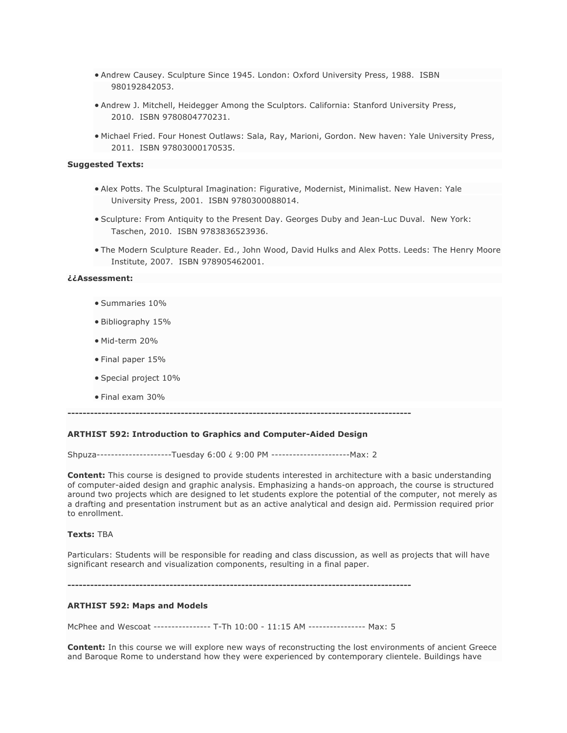- Andrew Causey. Sculpture Since 1945. London: Oxford University Press, 1988. ISBN 980192842053.
- Andrew J. Mitchell, Heidegger Among the Sculptors. California: Stanford University Press, 2010. ISBN 9780804770231.
- Michael Fried. Four Honest Outlaws: Sala, Ray, Marioni, Gordon. New haven: Yale University Press, 2011. ISBN 97803000170535.

#### **Suggested Texts:**

- Alex Potts. The Sculptural Imagination: Figurative, Modernist, Minimalist. New Haven: Yale University Press, 2001. ISBN 9780300088014.
- Sculpture: From Antiquity to the Present Day. Georges Duby and Jean-Luc Duval. New York: Taschen, 2010. ISBN 9783836523936.
- The Modern Sculpture Reader. Ed., John Wood, David Hulks and Alex Potts. Leeds: The Henry Moore Institute, 2007. ISBN 978905462001.

#### **¿¿Assessment:**

- Summaries 10%
- Bibliography 15%
- Mid-term 20%
- Final paper 15%
- Special project 10%
- Final exam 30%

**-------------------------------------------------------------------------------------------**

#### **ARTHIST 592: Introduction to Graphics and Computer-Aided Design**

Shpuza---------------------Tuesday 6:00 ¿ 9:00 PM ----------------------Max: 2

**Content:** This course is designed to provide students interested in architecture with a basic understanding of computer-aided design and graphic analysis. Emphasizing a hands-on approach, the course is structured around two projects which are designed to let students explore the potential of the computer, not merely as a drafting and presentation instrument but as an active analytical and design aid. Permission required prior to enrollment.

#### **Texts:** TBA

Particulars: Students will be responsible for reading and class discussion, as well as projects that will have significant research and visualization components, resulting in a final paper.

**-------------------------------------------------------------------------------------------**

#### **ARTHIST 592: Maps and Models**

McPhee and Wescoat ---------------- T-Th 10:00 - 11:15 AM ---------------- Max: 5

**Content:** In this course we will explore new ways of reconstructing the lost environments of ancient Greece and Baroque Rome to understand how they were experienced by contemporary clientele. Buildings have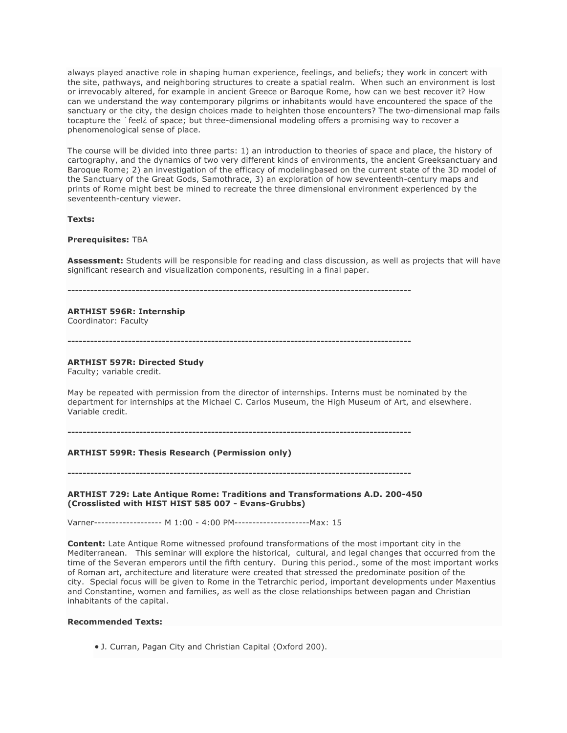always played anactive role in shaping human experience, feelings, and beliefs; they work in concert with the site, pathways, and neighboring structures to create a spatial realm. When such an environment is lost or irrevocably altered, for example in ancient Greece or Baroque Rome, how can we best recover it? How can we understand the way contemporary pilgrims or inhabitants would have encountered the space of the sanctuary or the city, the design choices made to heighten those encounters? The two-dimensional map fails tocapture the `feel¿ of space; but three-dimensional modeling offers a promising way to recover a phenomenological sense of place.

The course will be divided into three parts: 1) an introduction to theories of space and place, the history of cartography, and the dynamics of two very different kinds of environments, the ancient Greeksanctuary and Baroque Rome; 2) an investigation of the efficacy of modelingbased on the current state of the 3D model of the Sanctuary of the Great Gods, Samothrace, 3) an exploration of how seventeenth-century maps and prints of Rome might best be mined to recreate the three dimensional environment experienced by the seventeenth-century viewer.

#### **Texts:**

#### **Prerequisites:** TBA

**Assessment:** Students will be responsible for reading and class discussion, as well as projects that will have significant research and visualization components, resulting in a final paper.

**-------------------------------------------------------------------------------------------**

# **ARTHIST 596R: Internship**

Coordinator: Faculty

**-------------------------------------------------------------------------------------------**

# **ARTHIST 597R: Directed Study**

Faculty; variable credit.

May be repeated with permission from the director of internships. Interns must be nominated by the department for internships at the Michael C. Carlos Museum, the High Museum of Art, and elsewhere. Variable credit.

#### **-------------------------------------------------------------------------------------------**

# **ARTHIST 599R: Thesis Research (Permission only)**

**-------------------------------------------------------------------------------------------**

#### **ARTHIST 729: Late Antique Rome: Traditions and Transformations A.D. 200-450 (Crosslisted with HIST HIST 585 007 - Evans-Grubbs)**

Varner------------------- M 1:00 - 4:00 PM---------------------Max: 15

**Content:** Late Antique Rome witnessed profound transformations of the most important city in the Mediterranean. This seminar will explore the historical, cultural, and legal changes that occurred from the time of the Severan emperors until the fifth century. During this period., some of the most important works of Roman art, architecture and literature were created that stressed the predominate position of the city. Special focus will be given to Rome in the Tetrarchic period, important developments under Maxentius and Constantine, women and families, as well as the close relationships between pagan and Christian inhabitants of the capital.

#### **Recommended Texts:**

• J. Curran, Pagan City and Christian Capital (Oxford 200).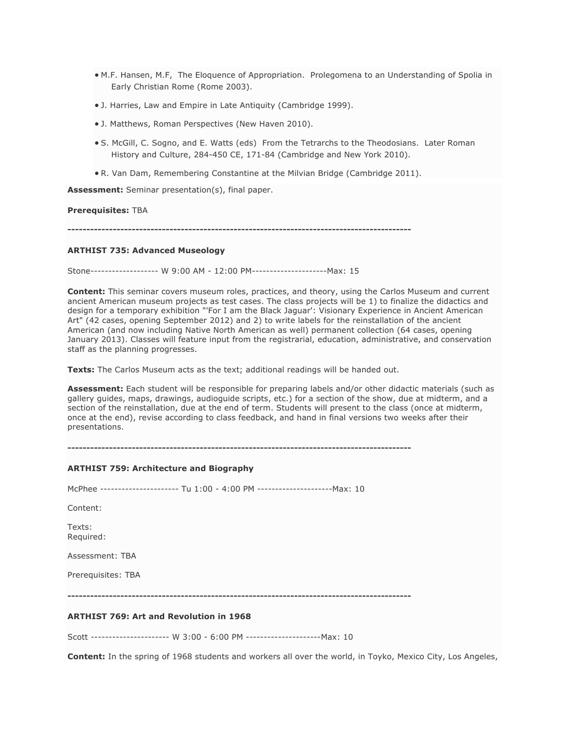- M.F. Hansen, M.F, The Eloquence of Appropriation. Prolegomena to an Understanding of Spolia in Early Christian Rome (Rome 2003).
- J. Harries, Law and Empire in Late Antiquity (Cambridge 1999).
- J. Matthews, Roman Perspectives (New Haven 2010).
- S. McGill, C. Sogno, and E. Watts (eds) From the Tetrarchs to the Theodosians. Later Roman History and Culture, 284-450 CE, 171-84 (Cambridge and New York 2010).
- R. Van Dam, Remembering Constantine at the Milvian Bridge (Cambridge 2011).

**Assessment:** Seminar presentation(s), final paper.

#### **Prerequisites:** TBA

**-------------------------------------------------------------------------------------------**

#### **ARTHIST 735: Advanced Museology**

Stone------------------- W 9:00 AM - 12:00 PM---------------------Max: 15

**Content:** This seminar covers museum roles, practices, and theory, using the Carlos Museum and current ancient American museum projects as test cases. The class projects will be 1) to finalize the didactics and design for a temporary exhibition "'For I am the Black Jaguar': Visionary Experience in Ancient American Art" (42 cases, opening September 2012) and 2) to write labels for the reinstallation of the ancient American (and now including Native North American as well) permanent collection (64 cases, opening January 2013). Classes will feature input from the registrarial, education, administrative, and conservation staff as the planning progresses.

**Texts:** The Carlos Museum acts as the text; additional readings will be handed out.

**Assessment:** Each student will be responsible for preparing labels and/or other didactic materials (such as gallery guides, maps, drawings, audioguide scripts, etc.) for a section of the show, due at midterm, and a section of the reinstallation, due at the end of term. Students will present to the class (once at midterm, once at the end), revise according to class feedback, and hand in final versions two weeks after their presentations.

**-------------------------------------------------------------------------------------------**

# **ARTHIST 759: Architecture and Biography** McPhee ---------------------- Tu 1:00 - 4:00 PM ---------------------Max: 10 Content: Texts:

Required:

Assessment: TBA

Prerequisites: TBA

**-------------------------------------------------------------------------------------------**

# **ARTHIST 769: Art and Revolution in 1968**

Scott ---------------------- W 3:00 - 6:00 PM ---------------------Max: 10

**Content:** In the spring of 1968 students and workers all over the world, in Toyko, Mexico City, Los Angeles,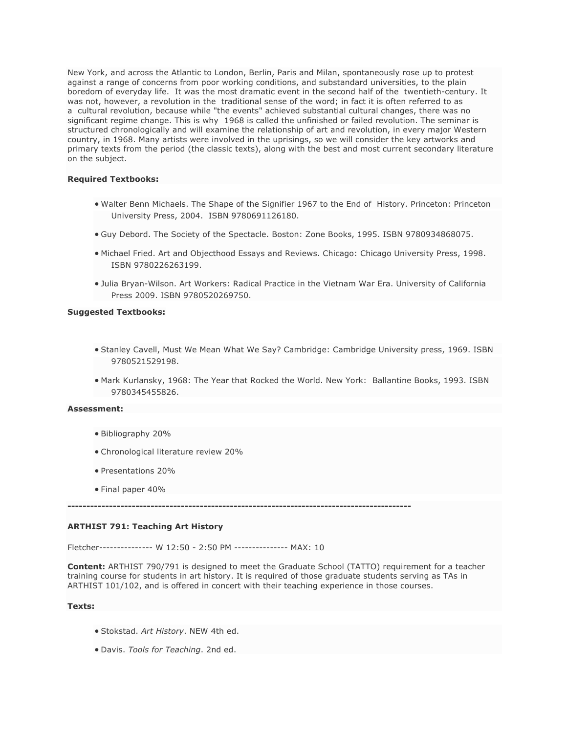New York, and across the Atlantic to London, Berlin, Paris and Milan, spontaneously rose up to protest against a range of concerns from poor working conditions, and substandard universities, to the plain boredom of everyday life. It was the most dramatic event in the second half of the twentieth-century. It was not, however, a revolution in the traditional sense of the word; in fact it is often referred to as a cultural revolution, because while "the events" achieved substantial cultural changes, there was no significant regime change. This is why 1968 is called the unfinished or failed revolution. The seminar is structured chronologically and will examine the relationship of art and revolution, in every major Western country, in 1968. Many artists were involved in the uprisings, so we will consider the key artworks and primary texts from the period (the classic texts), along with the best and most current secondary literature on the subject.

#### **Required Textbooks:**

- Walter Benn Michaels. The Shape of the Signifier 1967 to the End of History. Princeton: Princeton University Press, 2004. ISBN 9780691126180.
- Guy Debord. The Society of the Spectacle. Boston: Zone Books, 1995. ISBN 9780934868075.
- Michael Fried. Art and Objecthood Essays and Reviews. Chicago: Chicago University Press, 1998. ISBN 9780226263199.
- Julia Bryan-Wilson. Art Workers: Radical Practice in the Vietnam War Era. University of California Press 2009. ISBN 9780520269750.

#### **Suggested Textbooks:**

- Stanley Cavell, Must We Mean What We Say? Cambridge: Cambridge University press, 1969. ISBN 9780521529198.
- Mark Kurlansky, 1968: The Year that Rocked the World. New York: Ballantine Books, 1993. ISBN 9780345455826.

#### **Assessment:**

- Bibliography 20%
- Chronological literature review 20%
- Presentations 20%
- Final paper 40%

**-------------------------------------------------------------------------------------------**

# **ARTHIST 791: Teaching Art History**

Fletcher--------------- W 12:50 - 2:50 PM --------------- MAX: 10

**Content:** ARTHIST 790/791 is designed to meet the Graduate School (TATTO) requirement for a teacher training course for students in art history. It is required of those graduate students serving as TAs in ARTHIST 101/102, and is offered in concert with their teaching experience in those courses.

#### **Texts:**

- Stokstad. *Art History*. NEW 4th ed.
- Davis. *Tools for Teaching*. 2nd ed.